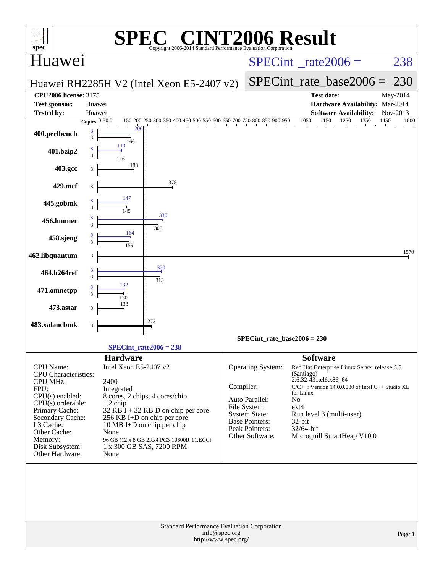| $spec^*$                                                                                                                                                                                                                            | $\left( \begin{array}{c} \mathbb{R} \\ \end{array} \right)$<br>Copyright 2006-2014 Standard Performance Evaluation Corporation                                                                                                                                                                                         | <b>INT2006 Result</b>                                                                                                                                                                                                                                                                                                                                                                                                                       |
|-------------------------------------------------------------------------------------------------------------------------------------------------------------------------------------------------------------------------------------|------------------------------------------------------------------------------------------------------------------------------------------------------------------------------------------------------------------------------------------------------------------------------------------------------------------------|---------------------------------------------------------------------------------------------------------------------------------------------------------------------------------------------------------------------------------------------------------------------------------------------------------------------------------------------------------------------------------------------------------------------------------------------|
| Huawei                                                                                                                                                                                                                              |                                                                                                                                                                                                                                                                                                                        | 238<br>$SPECint^{\circ}$ <sub>_rate2006</sub> =                                                                                                                                                                                                                                                                                                                                                                                             |
|                                                                                                                                                                                                                                     | Huawei RH2285H V2 (Intel Xeon E5-2407 v2)                                                                                                                                                                                                                                                                              | $SPECint$ rate base2006 =<br>-230                                                                                                                                                                                                                                                                                                                                                                                                           |
| <b>CPU2006 license: 3175</b>                                                                                                                                                                                                        |                                                                                                                                                                                                                                                                                                                        | <b>Test date:</b><br>May-2014                                                                                                                                                                                                                                                                                                                                                                                                               |
| <b>Test sponsor:</b>                                                                                                                                                                                                                | Huawei                                                                                                                                                                                                                                                                                                                 | Hardware Availability: Mar-2014                                                                                                                                                                                                                                                                                                                                                                                                             |
| <b>Tested by:</b>                                                                                                                                                                                                                   | Huawei<br>Copies $\boxed{0.50.0}$                                                                                                                                                                                                                                                                                      | <b>Software Availability:</b><br>Nov-2013<br>150 200 250 300 350 400 450 500 550 600 650 700 750 800 850 900 950 1050 1150 1250 1350<br>1450<br>1600                                                                                                                                                                                                                                                                                        |
| 400.perlbench                                                                                                                                                                                                                       | 206<br>8<br>8<br>166                                                                                                                                                                                                                                                                                                   |                                                                                                                                                                                                                                                                                                                                                                                                                                             |
| 401.bzip2                                                                                                                                                                                                                           | 119<br>8<br>8                                                                                                                                                                                                                                                                                                          |                                                                                                                                                                                                                                                                                                                                                                                                                                             |
| 403.gcc                                                                                                                                                                                                                             | 183                                                                                                                                                                                                                                                                                                                    |                                                                                                                                                                                                                                                                                                                                                                                                                                             |
| 429.mcf                                                                                                                                                                                                                             | 378<br>8                                                                                                                                                                                                                                                                                                               |                                                                                                                                                                                                                                                                                                                                                                                                                                             |
| 445.gobmk                                                                                                                                                                                                                           | 330                                                                                                                                                                                                                                                                                                                    |                                                                                                                                                                                                                                                                                                                                                                                                                                             |
| 456.hmmer                                                                                                                                                                                                                           | 8<br>305<br>164                                                                                                                                                                                                                                                                                                        |                                                                                                                                                                                                                                                                                                                                                                                                                                             |
| 458.sjeng<br>462.libquantum                                                                                                                                                                                                         |                                                                                                                                                                                                                                                                                                                        | 1570                                                                                                                                                                                                                                                                                                                                                                                                                                        |
| 464.h264ref                                                                                                                                                                                                                         | 8<br>320                                                                                                                                                                                                                                                                                                               |                                                                                                                                                                                                                                                                                                                                                                                                                                             |
| 471.omnetpp                                                                                                                                                                                                                         | 8<br>313<br>132<br>130                                                                                                                                                                                                                                                                                                 |                                                                                                                                                                                                                                                                                                                                                                                                                                             |
| 473.astar                                                                                                                                                                                                                           |                                                                                                                                                                                                                                                                                                                        |                                                                                                                                                                                                                                                                                                                                                                                                                                             |
| 483.xalancbmk                                                                                                                                                                                                                       | 272<br>8                                                                                                                                                                                                                                                                                                               |                                                                                                                                                                                                                                                                                                                                                                                                                                             |
|                                                                                                                                                                                                                                     | $SPECint_rate2006 = 238$                                                                                                                                                                                                                                                                                               | $SPECint_rate_base2006 = 230$                                                                                                                                                                                                                                                                                                                                                                                                               |
| CPU Name:<br><b>CPU</b> Characteristics:<br><b>CPU MHz:</b><br>FPU:<br>$CPU(s)$ enabled:<br>$CPU(s)$ orderable:<br>Primary Cache:<br>Secondary Cache:<br>L3 Cache:<br>Other Cache:<br>Memory:<br>Disk Subsystem:<br>Other Hardware: | <b>Hardware</b><br>Intel Xeon E5-2407 v2<br>2400<br>Integrated<br>8 cores, 2 chips, 4 cores/chip<br>$1,2$ chip<br>$32$ KB $\tilde{I}$ + 32 KB D on chip per core<br>256 KB I+D on chip per core<br>10 MB I+D on chip per chip<br>None<br>96 GB (12 x 8 GB 2Rx4 PC3-10600R-11, ECC)<br>1 x 300 GB SAS, 7200 RPM<br>None | <b>Software</b><br>Operating System:<br>Red Hat Enterprise Linux Server release 6.5<br>(Santiago)<br>2.6.32-431.el6.x86_64<br>Compiler:<br>$C/C++$ : Version 14.0.0.080 of Intel $C++$ Studio XE<br>for Linux<br>Auto Parallel:<br>No<br>File System:<br>$ext{4}$<br><b>System State:</b><br>Run level 3 (multi-user)<br><b>Base Pointers:</b><br>$32$ -bit<br>Peak Pointers:<br>32/64-bit<br>Microquill SmartHeap V10.0<br>Other Software: |
|                                                                                                                                                                                                                                     | Standard Performance Evaluation Corporation<br>info@spec.org<br>http://www.spec.org/                                                                                                                                                                                                                                   | Page 1                                                                                                                                                                                                                                                                                                                                                                                                                                      |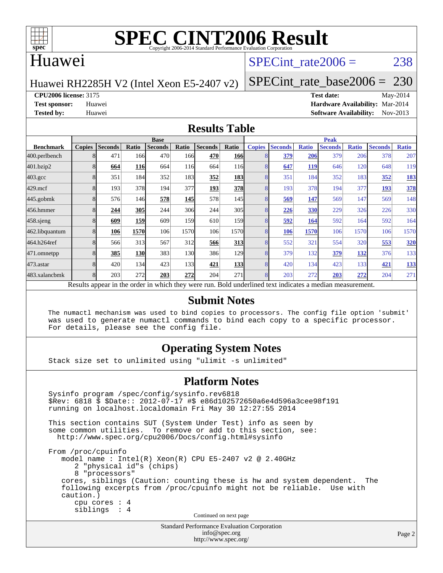

### Huawei

# SPECint rate $2006 = 238$

Huawei RH2285H V2 (Intel Xeon E5-2407 v2)

[SPECint\\_rate\\_base2006 =](http://www.spec.org/auto/cpu2006/Docs/result-fields.html#SPECintratebase2006) 230

**[CPU2006 license:](http://www.spec.org/auto/cpu2006/Docs/result-fields.html#CPU2006license)** 3175 **[Test date:](http://www.spec.org/auto/cpu2006/Docs/result-fields.html#Testdate)** May-2014

**[Test sponsor:](http://www.spec.org/auto/cpu2006/Docs/result-fields.html#Testsponsor)** Huawei **[Hardware Availability:](http://www.spec.org/auto/cpu2006/Docs/result-fields.html#HardwareAvailability)** Mar-2014 **[Tested by:](http://www.spec.org/auto/cpu2006/Docs/result-fields.html#Testedby)** Huawei **[Software Availability:](http://www.spec.org/auto/cpu2006/Docs/result-fields.html#SoftwareAvailability)** Nov-2013

#### **[Results Table](http://www.spec.org/auto/cpu2006/Docs/result-fields.html#ResultsTable)**

|                                                                                                          | <b>Base</b>   |                |       |                |       |                |            | <b>Peak</b>   |                |              |                |              |                |              |
|----------------------------------------------------------------------------------------------------------|---------------|----------------|-------|----------------|-------|----------------|------------|---------------|----------------|--------------|----------------|--------------|----------------|--------------|
| <b>Benchmark</b>                                                                                         | <b>Copies</b> | <b>Seconds</b> | Ratio | <b>Seconds</b> | Ratio | <b>Seconds</b> | Ratio      | <b>Copies</b> | <b>Seconds</b> | <b>Ratio</b> | <b>Seconds</b> | <b>Ratio</b> | <b>Seconds</b> | <b>Ratio</b> |
| 400.perlbench                                                                                            | 8             | 471            | 166   | 470            | 166   | 470            | <b>166</b> | 8             | 379            | 206          | 379            | 206          | 378            | 207          |
| 401.bzip2                                                                                                |               | 664            | 116   | 664            | 116   | 664            | 116        |               | 647            | <b>119</b>   | 646            | 120          | 648            | 119          |
| $403.\mathrm{gcc}$                                                                                       | 8             | 351            | 184   | 352            | 183   | 352            | <b>183</b> | 8             | 351            | 184          | 352            | 183          | 352            | <b>183</b>   |
| $429$ .mcf                                                                                               | 8             | 193            | 378   | 194            | 377   | 193            | 378        | 8             | 193            | 378          | 194            | 377          | 193            | 378          |
| $445$ .gobmk                                                                                             | 8             | 576            | 146   | 578            | 145   | 578            | 145        | 8             | 569            | 147          | 569            | 147          | 569            | 148          |
| 456.hmmer                                                                                                |               | 244            | 305   | 244            | 306   | 244            | 305        | 8             | 226            | 330          | 229            | 326          | 226            | 330          |
| $458$ .sjeng                                                                                             | 8             | 609            | 159   | 609            | 159   | 610            | 159        | 8             | 592            | 164          | 592            | 164          | 592            | 164          |
| 462.libquantum                                                                                           | 8             | 106            | 1570  | 106            | 1570  | 106            | 1570       | 8             | 106            | 1570         | 106            | 1570         | 106            | 1570         |
| 464.h264ref                                                                                              |               | 566            | 313   | 567            | 312   | 566            | 313        | 8             | 552            | 321          | 554            | 320          | 553            | 320          |
| 471.omnetpp                                                                                              | 8             | 385            | 130   | 383            | 130l  | 386            | 129        | 8             | 379            | 132          | 379            | <u>132</u>   | 376            | 133          |
| $473$ . astar                                                                                            | 8             | 420            | 134   | 423            | 133   | 421            | 133        | 8             | 420            | 134          | 423            | 133          | 421            | 133          |
| 483.xalancbmk                                                                                            | 8             | 203            | 272   | 203            | 272   | 204            | 271        | 8             | 203            | 272          | 203            | 272          | 204            | 271          |
| Results appear in the order in which they were run. Bold underlined text indicates a median measurement. |               |                |       |                |       |                |            |               |                |              |                |              |                |              |

#### **[Submit Notes](http://www.spec.org/auto/cpu2006/Docs/result-fields.html#SubmitNotes)**

 The numactl mechanism was used to bind copies to processors. The config file option 'submit' was used to generate numactl commands to bind each copy to a specific processor. For details, please see the config file.

### **[Operating System Notes](http://www.spec.org/auto/cpu2006/Docs/result-fields.html#OperatingSystemNotes)**

Stack size set to unlimited using "ulimit -s unlimited"

#### **[Platform Notes](http://www.spec.org/auto/cpu2006/Docs/result-fields.html#PlatformNotes)**

```
Standard Performance Evaluation Corporation
 Sysinfo program /spec/config/sysinfo.rev6818
 $Rev: 6818 $ $Date:: 2012-07-17 #$ e86d102572650a6e4d596a3cee98f191
 running on localhost.localdomain Fri May 30 12:27:55 2014
 This section contains SUT (System Under Test) info as seen by
some common utilities. To remove or add to this section, see:
  http://www.spec.org/cpu2006/Docs/config.html#sysinfo
 From /proc/cpuinfo
    model name : Intel(R) Xeon(R) CPU E5-2407 v2 @ 2.40GHz
       2 "physical id"s (chips)
       8 "processors"
    cores, siblings (Caution: counting these is hw and system dependent. The
    following excerpts from /proc/cpuinfo might not be reliable. Use with
    caution.)
       cpu cores : 4
       siblings : 4
                                   Continued on next page
```
[info@spec.org](mailto:info@spec.org) <http://www.spec.org/>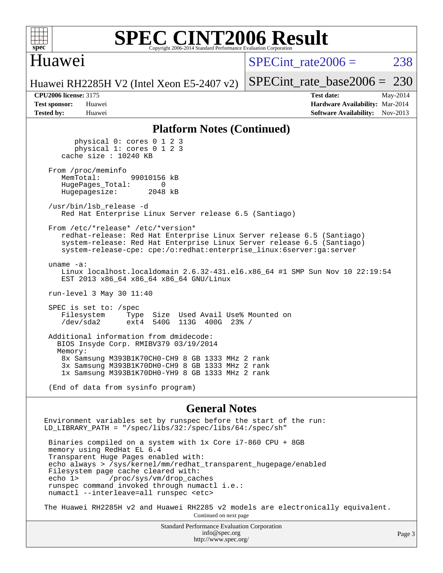

# Huawei

SPECint rate $2006 = 238$ 

[SPECint\\_rate\\_base2006 =](http://www.spec.org/auto/cpu2006/Docs/result-fields.html#SPECintratebase2006) 230

Huawei RH2285H V2 (Intel Xeon E5-2407 v2)

**[Tested by:](http://www.spec.org/auto/cpu2006/Docs/result-fields.html#Testedby)** Huawei **[Software Availability:](http://www.spec.org/auto/cpu2006/Docs/result-fields.html#SoftwareAvailability)** Nov-2013

**[CPU2006 license:](http://www.spec.org/auto/cpu2006/Docs/result-fields.html#CPU2006license)** 3175 **[Test date:](http://www.spec.org/auto/cpu2006/Docs/result-fields.html#Testdate)** May-2014 **[Test sponsor:](http://www.spec.org/auto/cpu2006/Docs/result-fields.html#Testsponsor)** Huawei **[Hardware Availability:](http://www.spec.org/auto/cpu2006/Docs/result-fields.html#HardwareAvailability)** Mar-2014

#### **[Platform Notes \(Continued\)](http://www.spec.org/auto/cpu2006/Docs/result-fields.html#PlatformNotes)**

 physical 0: cores 0 1 2 3 physical 1: cores 0 1 2 3 cache size : 10240 KB From /proc/meminfo<br>MemTotal: 99010156 kB HugePages\_Total: 0<br>Hugepagesize: 2048 kB Hugepagesize: /usr/bin/lsb\_release -d Red Hat Enterprise Linux Server release 6.5 (Santiago) From /etc/\*release\* /etc/\*version\* redhat-release: Red Hat Enterprise Linux Server release 6.5 (Santiago) system-release: Red Hat Enterprise Linux Server release 6.5 (Santiago) system-release-cpe: cpe:/o:redhat:enterprise\_linux:6server:ga:server uname -a: Linux localhost.localdomain 2.6.32-431.el6.x86\_64 #1 SMP Sun Nov 10 22:19:54 EST 2013 x86\_64 x86\_64 x86\_64 GNU/Linux run-level 3 May 30 11:40 SPEC is set to: /spec Filesystem Type Size Used Avail Use% Mounted on<br>
/dev/sda2 ext4 540G 113G 400G 23% / /dev/sda2 ext4 540G 113G 400G 23% / Additional information from dmidecode: BIOS Insyde Corp. RMIBV379 03/19/2014 Memory: 8x Samsung M393B1K70CH0-CH9 8 GB 1333 MHz 2 rank 3x Samsung M393B1K70DH0-CH9 8 GB 1333 MHz 2 rank 1x Samsung M393B1K70DH0-YH9 8 GB 1333 MHz 2 rank (End of data from sysinfo program)

#### **[General Notes](http://www.spec.org/auto/cpu2006/Docs/result-fields.html#GeneralNotes)**

Environment variables set by runspec before the start of the run: LD\_LIBRARY\_PATH = "/spec/libs/32:/spec/libs/64:/spec/sh" Binaries compiled on a system with 1x Core i7-860 CPU + 8GB memory using RedHat EL 6.4 Transparent Huge Pages enabled with: echo always > /sys/kernel/mm/redhat\_transparent\_hugepage/enabled Filesystem page cache cleared with:

 echo 1> /proc/sys/vm/drop\_caches runspec command invoked through numactl i.e.: numactl --interleave=all runspec <etc>

The Huawei RH2285H v2 and Huawei RH2285 v2 models are electronically equivalent. Continued on next page

> Standard Performance Evaluation Corporation [info@spec.org](mailto:info@spec.org) <http://www.spec.org/>

Page 3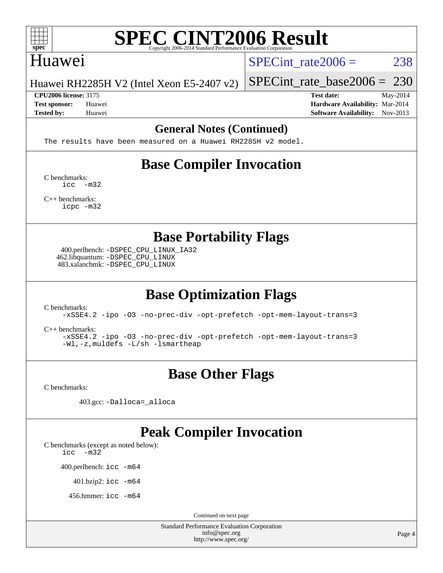

### Huawei

SPECint rate $2006 = 238$ 

Huawei RH2285H V2 (Intel Xeon E5-2407 v2)

**[CPU2006 license:](http://www.spec.org/auto/cpu2006/Docs/result-fields.html#CPU2006license)** 3175 **[Test date:](http://www.spec.org/auto/cpu2006/Docs/result-fields.html#Testdate)** May-2014

[SPECint\\_rate\\_base2006 =](http://www.spec.org/auto/cpu2006/Docs/result-fields.html#SPECintratebase2006) 230

**[Test sponsor:](http://www.spec.org/auto/cpu2006/Docs/result-fields.html#Testsponsor)** Huawei **[Hardware Availability:](http://www.spec.org/auto/cpu2006/Docs/result-fields.html#HardwareAvailability)** Mar-2014 **[Tested by:](http://www.spec.org/auto/cpu2006/Docs/result-fields.html#Testedby)** Huawei **[Software Availability:](http://www.spec.org/auto/cpu2006/Docs/result-fields.html#SoftwareAvailability)** Nov-2013

#### **[General Notes \(Continued\)](http://www.spec.org/auto/cpu2006/Docs/result-fields.html#GeneralNotes)**

The results have been measured on a Huawei RH2285H v2 model.

# **[Base Compiler Invocation](http://www.spec.org/auto/cpu2006/Docs/result-fields.html#BaseCompilerInvocation)**

[C benchmarks](http://www.spec.org/auto/cpu2006/Docs/result-fields.html#Cbenchmarks): [icc -m32](http://www.spec.org/cpu2006/results/res2014q3/cpu2006-20140605-29821.flags.html#user_CCbase_intel_icc_5ff4a39e364c98233615fdd38438c6f2)

[C++ benchmarks:](http://www.spec.org/auto/cpu2006/Docs/result-fields.html#CXXbenchmarks) [icpc -m32](http://www.spec.org/cpu2006/results/res2014q3/cpu2006-20140605-29821.flags.html#user_CXXbase_intel_icpc_4e5a5ef1a53fd332b3c49e69c3330699)

**[Base Portability Flags](http://www.spec.org/auto/cpu2006/Docs/result-fields.html#BasePortabilityFlags)**

 400.perlbench: [-DSPEC\\_CPU\\_LINUX\\_IA32](http://www.spec.org/cpu2006/results/res2014q3/cpu2006-20140605-29821.flags.html#b400.perlbench_baseCPORTABILITY_DSPEC_CPU_LINUX_IA32) 462.libquantum: [-DSPEC\\_CPU\\_LINUX](http://www.spec.org/cpu2006/results/res2014q3/cpu2006-20140605-29821.flags.html#b462.libquantum_baseCPORTABILITY_DSPEC_CPU_LINUX) 483.xalancbmk: [-DSPEC\\_CPU\\_LINUX](http://www.spec.org/cpu2006/results/res2014q3/cpu2006-20140605-29821.flags.html#b483.xalancbmk_baseCXXPORTABILITY_DSPEC_CPU_LINUX)

# **[Base Optimization Flags](http://www.spec.org/auto/cpu2006/Docs/result-fields.html#BaseOptimizationFlags)**

[C benchmarks](http://www.spec.org/auto/cpu2006/Docs/result-fields.html#Cbenchmarks):

[-xSSE4.2](http://www.spec.org/cpu2006/results/res2014q3/cpu2006-20140605-29821.flags.html#user_CCbase_f-xSSE42_f91528193cf0b216347adb8b939d4107) [-ipo](http://www.spec.org/cpu2006/results/res2014q3/cpu2006-20140605-29821.flags.html#user_CCbase_f-ipo) [-O3](http://www.spec.org/cpu2006/results/res2014q3/cpu2006-20140605-29821.flags.html#user_CCbase_f-O3) [-no-prec-div](http://www.spec.org/cpu2006/results/res2014q3/cpu2006-20140605-29821.flags.html#user_CCbase_f-no-prec-div) [-opt-prefetch](http://www.spec.org/cpu2006/results/res2014q3/cpu2006-20140605-29821.flags.html#user_CCbase_f-opt-prefetch) [-opt-mem-layout-trans=3](http://www.spec.org/cpu2006/results/res2014q3/cpu2006-20140605-29821.flags.html#user_CCbase_f-opt-mem-layout-trans_a7b82ad4bd7abf52556d4961a2ae94d5)

[C++ benchmarks:](http://www.spec.org/auto/cpu2006/Docs/result-fields.html#CXXbenchmarks)

[-xSSE4.2](http://www.spec.org/cpu2006/results/res2014q3/cpu2006-20140605-29821.flags.html#user_CXXbase_f-xSSE42_f91528193cf0b216347adb8b939d4107) [-ipo](http://www.spec.org/cpu2006/results/res2014q3/cpu2006-20140605-29821.flags.html#user_CXXbase_f-ipo) [-O3](http://www.spec.org/cpu2006/results/res2014q3/cpu2006-20140605-29821.flags.html#user_CXXbase_f-O3) [-no-prec-div](http://www.spec.org/cpu2006/results/res2014q3/cpu2006-20140605-29821.flags.html#user_CXXbase_f-no-prec-div) [-opt-prefetch](http://www.spec.org/cpu2006/results/res2014q3/cpu2006-20140605-29821.flags.html#user_CXXbase_f-opt-prefetch) [-opt-mem-layout-trans=3](http://www.spec.org/cpu2006/results/res2014q3/cpu2006-20140605-29821.flags.html#user_CXXbase_f-opt-mem-layout-trans_a7b82ad4bd7abf52556d4961a2ae94d5) [-Wl,-z,muldefs](http://www.spec.org/cpu2006/results/res2014q3/cpu2006-20140605-29821.flags.html#user_CXXbase_link_force_multiple1_74079c344b956b9658436fd1b6dd3a8a) [-L/sh -lsmartheap](http://www.spec.org/cpu2006/results/res2014q3/cpu2006-20140605-29821.flags.html#user_CXXbase_SmartHeap_32f6c82aa1ed9c52345d30cf6e4a0499)

# **[Base Other Flags](http://www.spec.org/auto/cpu2006/Docs/result-fields.html#BaseOtherFlags)**

[C benchmarks](http://www.spec.org/auto/cpu2006/Docs/result-fields.html#Cbenchmarks):

403.gcc: [-Dalloca=\\_alloca](http://www.spec.org/cpu2006/results/res2014q3/cpu2006-20140605-29821.flags.html#b403.gcc_baseEXTRA_CFLAGS_Dalloca_be3056838c12de2578596ca5467af7f3)

# **[Peak Compiler Invocation](http://www.spec.org/auto/cpu2006/Docs/result-fields.html#PeakCompilerInvocation)**

[C benchmarks \(except as noted below\)](http://www.spec.org/auto/cpu2006/Docs/result-fields.html#Cbenchmarksexceptasnotedbelow):

[icc -m32](http://www.spec.org/cpu2006/results/res2014q3/cpu2006-20140605-29821.flags.html#user_CCpeak_intel_icc_5ff4a39e364c98233615fdd38438c6f2)

400.perlbench: [icc -m64](http://www.spec.org/cpu2006/results/res2014q3/cpu2006-20140605-29821.flags.html#user_peakCCLD400_perlbench_intel_icc_64bit_bda6cc9af1fdbb0edc3795bac97ada53)

401.bzip2: [icc -m64](http://www.spec.org/cpu2006/results/res2014q3/cpu2006-20140605-29821.flags.html#user_peakCCLD401_bzip2_intel_icc_64bit_bda6cc9af1fdbb0edc3795bac97ada53)

456.hmmer: [icc -m64](http://www.spec.org/cpu2006/results/res2014q3/cpu2006-20140605-29821.flags.html#user_peakCCLD456_hmmer_intel_icc_64bit_bda6cc9af1fdbb0edc3795bac97ada53)

Continued on next page

Standard Performance Evaluation Corporation [info@spec.org](mailto:info@spec.org) <http://www.spec.org/>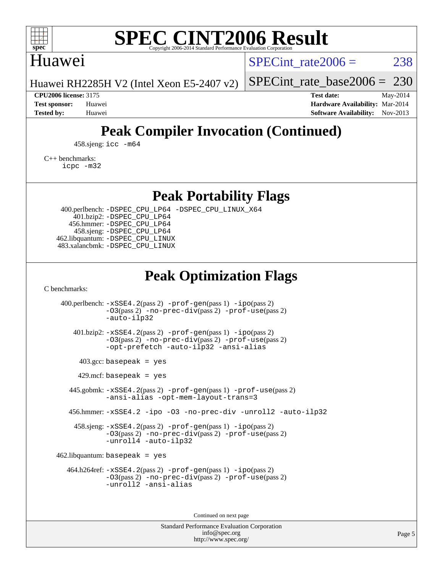

# Huawei

SPECint rate $2006 = 238$ 

Huawei RH2285H V2 (Intel Xeon E5-2407 v2)

[SPECint\\_rate\\_base2006 =](http://www.spec.org/auto/cpu2006/Docs/result-fields.html#SPECintratebase2006) 230

**[CPU2006 license:](http://www.spec.org/auto/cpu2006/Docs/result-fields.html#CPU2006license)** 3175 **[Test date:](http://www.spec.org/auto/cpu2006/Docs/result-fields.html#Testdate)** May-2014 **[Test sponsor:](http://www.spec.org/auto/cpu2006/Docs/result-fields.html#Testsponsor)** Huawei **[Hardware Availability:](http://www.spec.org/auto/cpu2006/Docs/result-fields.html#HardwareAvailability)** Mar-2014 **[Tested by:](http://www.spec.org/auto/cpu2006/Docs/result-fields.html#Testedby)** Huawei **[Software Availability:](http://www.spec.org/auto/cpu2006/Docs/result-fields.html#SoftwareAvailability)** Nov-2013

# **[Peak Compiler Invocation \(Continued\)](http://www.spec.org/auto/cpu2006/Docs/result-fields.html#PeakCompilerInvocation)**

458.sjeng: [icc -m64](http://www.spec.org/cpu2006/results/res2014q3/cpu2006-20140605-29821.flags.html#user_peakCCLD458_sjeng_intel_icc_64bit_bda6cc9af1fdbb0edc3795bac97ada53)

[C++ benchmarks:](http://www.spec.org/auto/cpu2006/Docs/result-fields.html#CXXbenchmarks) [icpc -m32](http://www.spec.org/cpu2006/results/res2014q3/cpu2006-20140605-29821.flags.html#user_CXXpeak_intel_icpc_4e5a5ef1a53fd332b3c49e69c3330699)

**[Peak Portability Flags](http://www.spec.org/auto/cpu2006/Docs/result-fields.html#PeakPortabilityFlags)**

 400.perlbench: [-DSPEC\\_CPU\\_LP64](http://www.spec.org/cpu2006/results/res2014q3/cpu2006-20140605-29821.flags.html#b400.perlbench_peakCPORTABILITY_DSPEC_CPU_LP64) [-DSPEC\\_CPU\\_LINUX\\_X64](http://www.spec.org/cpu2006/results/res2014q3/cpu2006-20140605-29821.flags.html#b400.perlbench_peakCPORTABILITY_DSPEC_CPU_LINUX_X64) 401.bzip2: [-DSPEC\\_CPU\\_LP64](http://www.spec.org/cpu2006/results/res2014q3/cpu2006-20140605-29821.flags.html#suite_peakCPORTABILITY401_bzip2_DSPEC_CPU_LP64) 456.hmmer: [-DSPEC\\_CPU\\_LP64](http://www.spec.org/cpu2006/results/res2014q3/cpu2006-20140605-29821.flags.html#suite_peakCPORTABILITY456_hmmer_DSPEC_CPU_LP64) 458.sjeng: [-DSPEC\\_CPU\\_LP64](http://www.spec.org/cpu2006/results/res2014q3/cpu2006-20140605-29821.flags.html#suite_peakCPORTABILITY458_sjeng_DSPEC_CPU_LP64) 462.libquantum: [-DSPEC\\_CPU\\_LINUX](http://www.spec.org/cpu2006/results/res2014q3/cpu2006-20140605-29821.flags.html#b462.libquantum_peakCPORTABILITY_DSPEC_CPU_LINUX) 483.xalancbmk: [-DSPEC\\_CPU\\_LINUX](http://www.spec.org/cpu2006/results/res2014q3/cpu2006-20140605-29821.flags.html#b483.xalancbmk_peakCXXPORTABILITY_DSPEC_CPU_LINUX)

# **[Peak Optimization Flags](http://www.spec.org/auto/cpu2006/Docs/result-fields.html#PeakOptimizationFlags)**

[C benchmarks](http://www.spec.org/auto/cpu2006/Docs/result-fields.html#Cbenchmarks):

 400.perlbench: [-xSSE4.2](http://www.spec.org/cpu2006/results/res2014q3/cpu2006-20140605-29821.flags.html#user_peakPASS2_CFLAGSPASS2_LDCFLAGS400_perlbench_f-xSSE42_f91528193cf0b216347adb8b939d4107)(pass 2) [-prof-gen](http://www.spec.org/cpu2006/results/res2014q3/cpu2006-20140605-29821.flags.html#user_peakPASS1_CFLAGSPASS1_LDCFLAGS400_perlbench_prof_gen_e43856698f6ca7b7e442dfd80e94a8fc)(pass 1) [-ipo](http://www.spec.org/cpu2006/results/res2014q3/cpu2006-20140605-29821.flags.html#user_peakPASS2_CFLAGSPASS2_LDCFLAGS400_perlbench_f-ipo)(pass 2) [-O3](http://www.spec.org/cpu2006/results/res2014q3/cpu2006-20140605-29821.flags.html#user_peakPASS2_CFLAGSPASS2_LDCFLAGS400_perlbench_f-O3)(pass 2) [-no-prec-div](http://www.spec.org/cpu2006/results/res2014q3/cpu2006-20140605-29821.flags.html#user_peakPASS2_CFLAGSPASS2_LDCFLAGS400_perlbench_f-no-prec-div)(pass 2) [-prof-use](http://www.spec.org/cpu2006/results/res2014q3/cpu2006-20140605-29821.flags.html#user_peakPASS2_CFLAGSPASS2_LDCFLAGS400_perlbench_prof_use_bccf7792157ff70d64e32fe3e1250b55)(pass 2) [-auto-ilp32](http://www.spec.org/cpu2006/results/res2014q3/cpu2006-20140605-29821.flags.html#user_peakCOPTIMIZE400_perlbench_f-auto-ilp32) 401.bzip2: [-xSSE4.2](http://www.spec.org/cpu2006/results/res2014q3/cpu2006-20140605-29821.flags.html#user_peakPASS2_CFLAGSPASS2_LDCFLAGS401_bzip2_f-xSSE42_f91528193cf0b216347adb8b939d4107)(pass 2) [-prof-gen](http://www.spec.org/cpu2006/results/res2014q3/cpu2006-20140605-29821.flags.html#user_peakPASS1_CFLAGSPASS1_LDCFLAGS401_bzip2_prof_gen_e43856698f6ca7b7e442dfd80e94a8fc)(pass 1) [-ipo](http://www.spec.org/cpu2006/results/res2014q3/cpu2006-20140605-29821.flags.html#user_peakPASS2_CFLAGSPASS2_LDCFLAGS401_bzip2_f-ipo)(pass 2) [-O3](http://www.spec.org/cpu2006/results/res2014q3/cpu2006-20140605-29821.flags.html#user_peakPASS2_CFLAGSPASS2_LDCFLAGS401_bzip2_f-O3)(pass 2) [-no-prec-div](http://www.spec.org/cpu2006/results/res2014q3/cpu2006-20140605-29821.flags.html#user_peakPASS2_CFLAGSPASS2_LDCFLAGS401_bzip2_f-no-prec-div)(pass 2) [-prof-use](http://www.spec.org/cpu2006/results/res2014q3/cpu2006-20140605-29821.flags.html#user_peakPASS2_CFLAGSPASS2_LDCFLAGS401_bzip2_prof_use_bccf7792157ff70d64e32fe3e1250b55)(pass 2) [-opt-prefetch](http://www.spec.org/cpu2006/results/res2014q3/cpu2006-20140605-29821.flags.html#user_peakCOPTIMIZE401_bzip2_f-opt-prefetch) [-auto-ilp32](http://www.spec.org/cpu2006/results/res2014q3/cpu2006-20140605-29821.flags.html#user_peakCOPTIMIZE401_bzip2_f-auto-ilp32) [-ansi-alias](http://www.spec.org/cpu2006/results/res2014q3/cpu2006-20140605-29821.flags.html#user_peakCOPTIMIZE401_bzip2_f-ansi-alias)  $403.\text{gcc: basepeak}$  = yes  $429$ .mcf: basepeak = yes 445.gobmk: [-xSSE4.2](http://www.spec.org/cpu2006/results/res2014q3/cpu2006-20140605-29821.flags.html#user_peakPASS2_CFLAGSPASS2_LDCFLAGS445_gobmk_f-xSSE42_f91528193cf0b216347adb8b939d4107)(pass 2) [-prof-gen](http://www.spec.org/cpu2006/results/res2014q3/cpu2006-20140605-29821.flags.html#user_peakPASS1_CFLAGSPASS1_LDCFLAGS445_gobmk_prof_gen_e43856698f6ca7b7e442dfd80e94a8fc)(pass 1) [-prof-use](http://www.spec.org/cpu2006/results/res2014q3/cpu2006-20140605-29821.flags.html#user_peakPASS2_CFLAGSPASS2_LDCFLAGS445_gobmk_prof_use_bccf7792157ff70d64e32fe3e1250b55)(pass 2) [-ansi-alias](http://www.spec.org/cpu2006/results/res2014q3/cpu2006-20140605-29821.flags.html#user_peakCOPTIMIZE445_gobmk_f-ansi-alias) [-opt-mem-layout-trans=3](http://www.spec.org/cpu2006/results/res2014q3/cpu2006-20140605-29821.flags.html#user_peakCOPTIMIZE445_gobmk_f-opt-mem-layout-trans_a7b82ad4bd7abf52556d4961a2ae94d5) 456.hmmer: [-xSSE4.2](http://www.spec.org/cpu2006/results/res2014q3/cpu2006-20140605-29821.flags.html#user_peakCOPTIMIZE456_hmmer_f-xSSE42_f91528193cf0b216347adb8b939d4107) [-ipo](http://www.spec.org/cpu2006/results/res2014q3/cpu2006-20140605-29821.flags.html#user_peakCOPTIMIZE456_hmmer_f-ipo) [-O3](http://www.spec.org/cpu2006/results/res2014q3/cpu2006-20140605-29821.flags.html#user_peakCOPTIMIZE456_hmmer_f-O3) [-no-prec-div](http://www.spec.org/cpu2006/results/res2014q3/cpu2006-20140605-29821.flags.html#user_peakCOPTIMIZE456_hmmer_f-no-prec-div) [-unroll2](http://www.spec.org/cpu2006/results/res2014q3/cpu2006-20140605-29821.flags.html#user_peakCOPTIMIZE456_hmmer_f-unroll_784dae83bebfb236979b41d2422d7ec2) [-auto-ilp32](http://www.spec.org/cpu2006/results/res2014q3/cpu2006-20140605-29821.flags.html#user_peakCOPTIMIZE456_hmmer_f-auto-ilp32) 458.sjeng: [-xSSE4.2](http://www.spec.org/cpu2006/results/res2014q3/cpu2006-20140605-29821.flags.html#user_peakPASS2_CFLAGSPASS2_LDCFLAGS458_sjeng_f-xSSE42_f91528193cf0b216347adb8b939d4107)(pass 2) [-prof-gen](http://www.spec.org/cpu2006/results/res2014q3/cpu2006-20140605-29821.flags.html#user_peakPASS1_CFLAGSPASS1_LDCFLAGS458_sjeng_prof_gen_e43856698f6ca7b7e442dfd80e94a8fc)(pass 1) [-ipo](http://www.spec.org/cpu2006/results/res2014q3/cpu2006-20140605-29821.flags.html#user_peakPASS2_CFLAGSPASS2_LDCFLAGS458_sjeng_f-ipo)(pass 2) [-O3](http://www.spec.org/cpu2006/results/res2014q3/cpu2006-20140605-29821.flags.html#user_peakPASS2_CFLAGSPASS2_LDCFLAGS458_sjeng_f-O3)(pass 2) [-no-prec-div](http://www.spec.org/cpu2006/results/res2014q3/cpu2006-20140605-29821.flags.html#user_peakPASS2_CFLAGSPASS2_LDCFLAGS458_sjeng_f-no-prec-div)(pass 2) [-prof-use](http://www.spec.org/cpu2006/results/res2014q3/cpu2006-20140605-29821.flags.html#user_peakPASS2_CFLAGSPASS2_LDCFLAGS458_sjeng_prof_use_bccf7792157ff70d64e32fe3e1250b55)(pass 2) [-unroll4](http://www.spec.org/cpu2006/results/res2014q3/cpu2006-20140605-29821.flags.html#user_peakCOPTIMIZE458_sjeng_f-unroll_4e5e4ed65b7fd20bdcd365bec371b81f) [-auto-ilp32](http://www.spec.org/cpu2006/results/res2014q3/cpu2006-20140605-29821.flags.html#user_peakCOPTIMIZE458_sjeng_f-auto-ilp32)  $462$ .libquantum: basepeak = yes 464.h264ref: [-xSSE4.2](http://www.spec.org/cpu2006/results/res2014q3/cpu2006-20140605-29821.flags.html#user_peakPASS2_CFLAGSPASS2_LDCFLAGS464_h264ref_f-xSSE42_f91528193cf0b216347adb8b939d4107)(pass 2) [-prof-gen](http://www.spec.org/cpu2006/results/res2014q3/cpu2006-20140605-29821.flags.html#user_peakPASS1_CFLAGSPASS1_LDCFLAGS464_h264ref_prof_gen_e43856698f6ca7b7e442dfd80e94a8fc)(pass 1) [-ipo](http://www.spec.org/cpu2006/results/res2014q3/cpu2006-20140605-29821.flags.html#user_peakPASS2_CFLAGSPASS2_LDCFLAGS464_h264ref_f-ipo)(pass 2) [-O3](http://www.spec.org/cpu2006/results/res2014q3/cpu2006-20140605-29821.flags.html#user_peakPASS2_CFLAGSPASS2_LDCFLAGS464_h264ref_f-O3)(pass 2) [-no-prec-div](http://www.spec.org/cpu2006/results/res2014q3/cpu2006-20140605-29821.flags.html#user_peakPASS2_CFLAGSPASS2_LDCFLAGS464_h264ref_f-no-prec-div)(pass 2) [-prof-use](http://www.spec.org/cpu2006/results/res2014q3/cpu2006-20140605-29821.flags.html#user_peakPASS2_CFLAGSPASS2_LDCFLAGS464_h264ref_prof_use_bccf7792157ff70d64e32fe3e1250b55)(pass 2) [-unroll2](http://www.spec.org/cpu2006/results/res2014q3/cpu2006-20140605-29821.flags.html#user_peakCOPTIMIZE464_h264ref_f-unroll_784dae83bebfb236979b41d2422d7ec2) [-ansi-alias](http://www.spec.org/cpu2006/results/res2014q3/cpu2006-20140605-29821.flags.html#user_peakCOPTIMIZE464_h264ref_f-ansi-alias)

Continued on next page

Standard Performance Evaluation Corporation [info@spec.org](mailto:info@spec.org) <http://www.spec.org/>